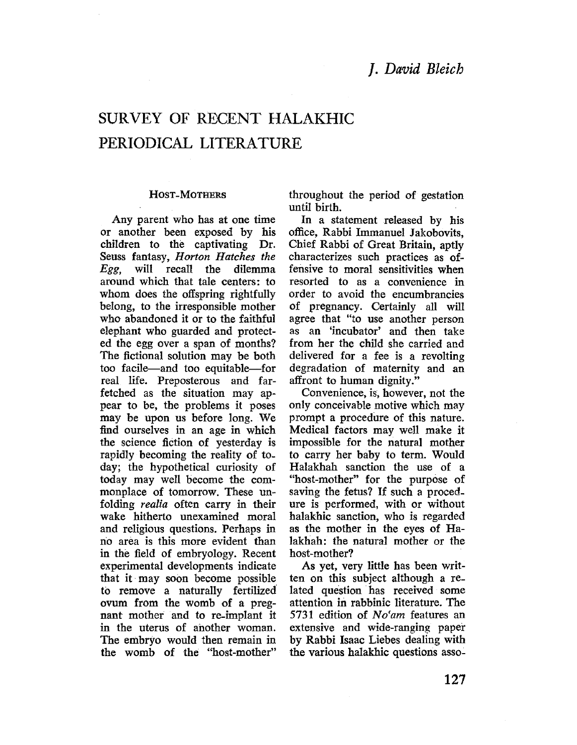# SURVEY OF RECENT HALAKHIC PERIODICAL LITERATURE

#### HOST-MOTHERS

Any parent who has at one time or another been exposed by his children to the captivating Dr. Seuss fantasy, Horton Hatches the  $Egg$ , will recall the dilemma around which that tale centers: to whom does the offspring rightfully belong, to the irresponsible mother who abandoned it or to the faithful elephant who guarded and protected the egg over a span of months? The fictional solution may be both too facile-and too equitable-for real life. Preposterous and farfetched as the situation may appear to be, the problems it poses may be upon us before long. We fid ourselves in an age in which the science fiction of yesterday is rapidly becoming the reality of today; the hypothetical curiosity of today may well become the commonplace of tomorrow. These un~ folding realia often carry in their wake hitherto unexamined moral and religious questions. Perhaps in no area is this more evident than in the field of embryology. Recent experimental developments indicate that it may soon become possible to remove a naturally fertilzed ovum from the womb of a pregnant mother and to re-implant it in the uterus of ahother woman. The embryo would then remain in the womb of the "host-mother"

throughout the period of gestation until birth.

In a statement released by his office, Rabbi Immanuel Jakobovits, Chief Rabbi of Great Britain, aptly characterizes such practices as offensive to moral sensitivities when resorted to as a convenience in order to avoid the encumbrancies of pregnancy. Certainly all wil agree that "to use another person as an 'incubator' and then take from her the child she carried and delivered for a fee is a revolting degradation of maternity and an affront to human dignity."

Convenience, is, however, not the only conceivable motive which may prompt a procedure of this nature. Medical factors may well make it impossible for the natural mother to carry her baby to term. Would Halakhah sanction the use of a "host-mother" for the purpose of saving the fetus? If such a procedure is performed, with or without halakhic sanction, who is regarded as the mother in the eyes of Halakhah: the natural mother or the host~mother?

As yet, very little has been written on this subject although a related question. has received some attention in rabbinic literature. The 5731 edition of No'am features an extensive and wide-ranging paper by Rabbi Isaac Liebes dealing with the various halakhic questions asso-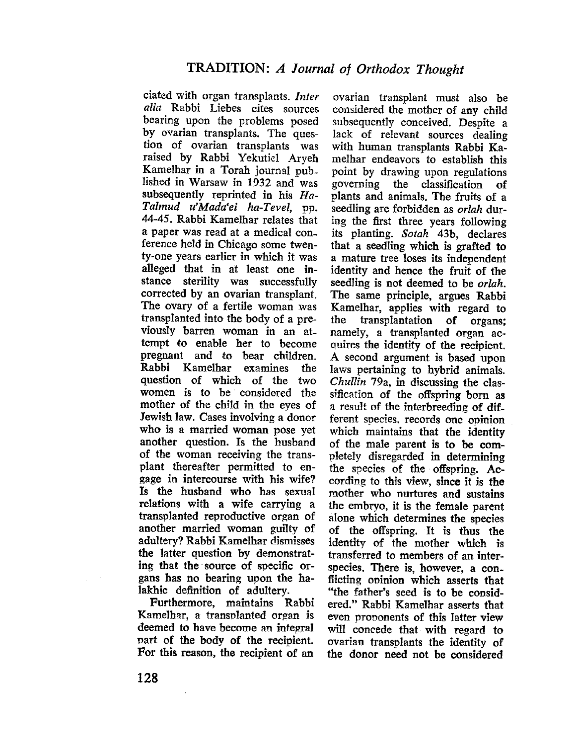ciated with organ transplants. Inter alia Rabbi Liebes cites sources bearing upon the problems posed by ovarian transplants. The question of ovarian transplants was raised by Rabbi Yekutiel Aryeh Kamelhar in a Torah journal published in Warsaw in 1932 and was subsequently reprinted in his  $Ha-$ Talmud u'Mada'ei ha-Tevel, pp. 44-45. Rabbi Kamelhar relates that a paper was read at a medical conference held in Chicago some twenty-one years earlier in which it was alleged that in at least one instance sterilty was successfully corrected by an ovarian transplant. The ovary of a fertile woman was transplanted into the body of a previously barren woman in an attempt to enable her to become pregnant and to bear children. Rabbi Kamelhar examines the question of which of the two women is to be considered the mother of the child in the eyes of Jewish law. Cases involving a donor who is a married woman pose yet another question. Is the husband of the woman receiving the transplant thereafter permitted to engage in intercourse with his wife? Is the husband who has sexual relations with a wife carrying a transplanted reproductive organ of another married woman guilty of adultery? Rabbi Kamelhar dismisses the latter question by demonstrating that the source of specific organs has no bearing upon the halakhic definition of adultery.

Furthermore, maintains Rabbi Kamelhar, a transplanted organ is deemed to have become an integral part of the body of the recipient. For this reason, the recipient of an

ovarian transplant must also be considered the mother of any child subsequently conceived. Despite a lack of relevant sources dealing with human transplants Rabbi Kamelhar endeavors to establish this point by drawing upon regulations governing the classification of plants and animals. The fruits of a seedling are forbidden as orlah dUring the first three years following its planting. Sotah 43b, declares that a seedling which is grafted to a mature tree loses its independent identity and hence the fruit of the seedling is not deemed to be orlah. The same principle, argues Rabbi Kamelhar, applies with regard to the transplantation of organs; namely, a transplanted organ acquires the identity of the recipient. A second argument is based upon laws pertaining to hybrid animals.  $Chullin$  79a, in discussing the classification of the offspring born as a result of the interbreeding of different species. records one opinion which maintains that the identity of the male parent is to be completely disregarded in determining the species of the offspring. According to this view, since it is the mother who nurtures and sustains the embryo, it is the female parent alone which determines the species of the offspring. It is thus the identity of the mother which is transferred to members of an interspecies. There is, however, a conflicting ooinion which asserts that "the father's seed is to be considered." Rahbi Kamelhar asserts that even proponents of this latter view will concede that with regard to ovarian transplants the identity of the donor need not be considered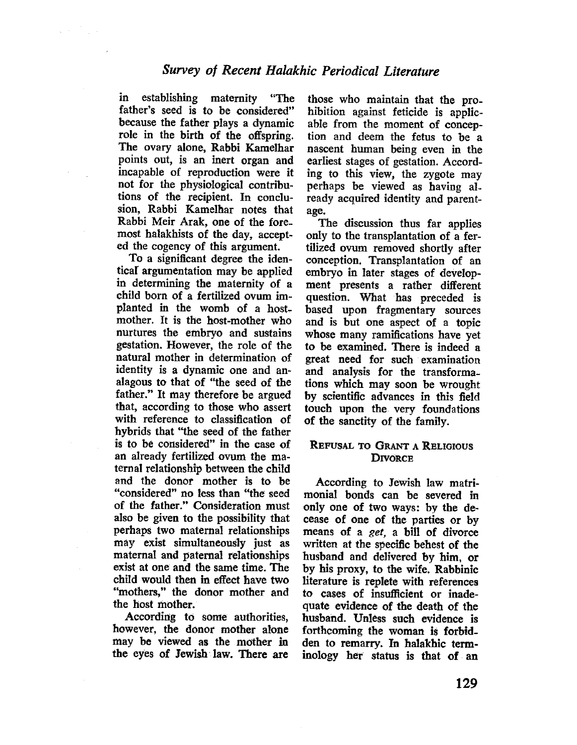in establishing maternity "The father's seed is to be considered" because the father plays a dynamic role in the birth of the offspring. The ovary alone, Rabbi Kamelhar points out, is an inert organ and incapable of reproduction were it not for the physiological contributions of the recipient. In conclusion, Rabbi Kamelhar notes that Rabbi Meir Arak, one of the foremost halakhists of the day, accepted the cogency of this argument.

 $\chi \to \pi^+$ 

To a significant degree the identical argumentation may be applied in determining the maternity of a child born of a fertilzed ovum implanted in the womb of a host.. mother. It is the host-mother who nurtures the embryo and sustains gestation. However, the role of the natural mother in determination of identity is a dynamic one and analagous to that of "the seed of the father." It may therefore be argued that, according to those who assert with reference to classification of hybrids that "the seed of the father is to be considered" in the case of an already fertilized ovum the maternal relationship between the child and the donor mother is to be "considered" no less than "the seed of the father." Consideration must also be given to the possibilty that perhaps two maternal relationships may exist simultaneously just as maternal and paternal relationships exist at one and the same time. The child would then in effect have two "mothers," the donor mother and the host mother.

According to some authorities, however, the donor mother alone may be viewed as the mother in the eyes of Jewish law. There are

those who maintain that the prohibition against feticide is applicable from the moment of conception and deem the fetus to be a nascent human being even in the earliest stages of gestation. According to this view, the zygote may perhaps be viewed as having already acquired identity and parentage.

The discussion thus far applies only to the transplantation of a fertilzed ovum removed shortly after conception. Transplantation of an embryo in later stages of development presents a rather diferent question. What has preceded is based upon fragmentary sources and is but one aspect of a topic whose many ramifcations have yet to be examined. There is indeed a great need for such examination and analysis for the transformations which may soon be wrought by scientifc advances in this field touch upon the very foundations of the sanctity of the family.

#### REFUSAL TO GRANT A RELIGIOUS **DIVORCE**

According to Jewish law matrimonial bonds can be severed in only one of two ways: by the decease of one of the parties or by means of a get, a bill of divorce written at the specific behest of the husband and delivered by him, or by his proxy, to the wife. Rabbinic literature is replete with references to cases of insufficient or inadequate evidence of the death of the husband. Unless such evidence is forthcoming the woman is forbidden to remarry. In halakhic terminology her status is that of an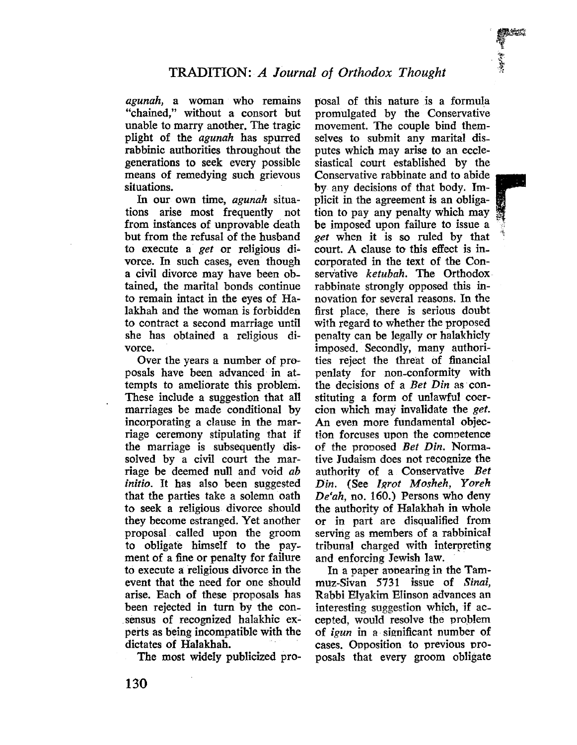agunah, a woman who remains "chained," without a consort but unable to marry another. The tragic plight of the agunah has spurred rabbinic authorities throughout the generations to seek every possible means of remedying such grievous situations.

In our own time, *agunah* situations arise most frequently not from instances of unprovable death but from the refusal of the husband to execute a get or religious divorce. In such cases, even though a civil divorce may have been obtained, the marital bonds continue to remain intact in the eyes of Halakhah and the woman is forbidden to contract a second marriage until she has obtained a religious divorce.

Over the years a number of proposals have been advanced. in attempts to ameliorate this problem. These include a suggestion that all marriages be made conditional by incorporating a clause in the marriage ceremony stipulating that if the marriage is subsequently dissolved by a civil court the marriage be deemed null and void ab initio. It has also been suggested that the parties take a solemn oath to seek a religious. divorce should they become estranged. Yet another proposal. called upon the groom to obligate himself to the payment of a fine or penalty for failure to execute âreligious divorce in the event that the need for one should arise. Each of these proposals has been rejected in turn by the con sensus of recognized halakhic experts as being incompatible with the dictates of Halakhah.

The most widely publicized pro-

posal of this nature is a formula promulgated by the Conservative movement. The couple bind themselves to submit any marital disputes which may arise to an ecclesiastical court established by the Conservative rabbinate and to abide by any decisions of that body. Implicit in the agreement is an obligation to pay any penalty which may be imposed upon failure to issue a. get when it is so ruled by that court. A clause to this effect is incorporated in the text of the Conservative ketubah. The Orthodoxrabbinate strongly opposed this innovation for several reasons. In the first place, there is serious doubt with regard to whether the proposed penalty can be legally or halakhicly imposed. Secondly, many authorities reject the threat of financial penlaty for non-conformity with the decisions of a Bet  $Din$  as constituting a form of unlawful coercion which may invalidate the get. An even more fundamental objection forcuses upon the competence of the proposed Bet Din. Normative Judaism does not recognize the authority of a Conservative Bet Din. (See Igrot Mosheh, Yoreh De'ah, no. 160.) Persons who deny the authority of Halakhah in whole or in part are disqualified from serving as members of a rabbinical tribunal charged with interpreting and enforcing Jewish law.

'..~

.<br>मुक् .- ..,  $\mathcal{L}^{\mathbf{C}}$  .

In a paper appearing in the Tammuz-Sivan 5731 issue of Sinai, Rabbi Elyakim EIinson advances an interesting suggestion which, if accepted, would resolve the proptem of igun in a. significant number of cases. Opposition. to previous proposals that every groom obligate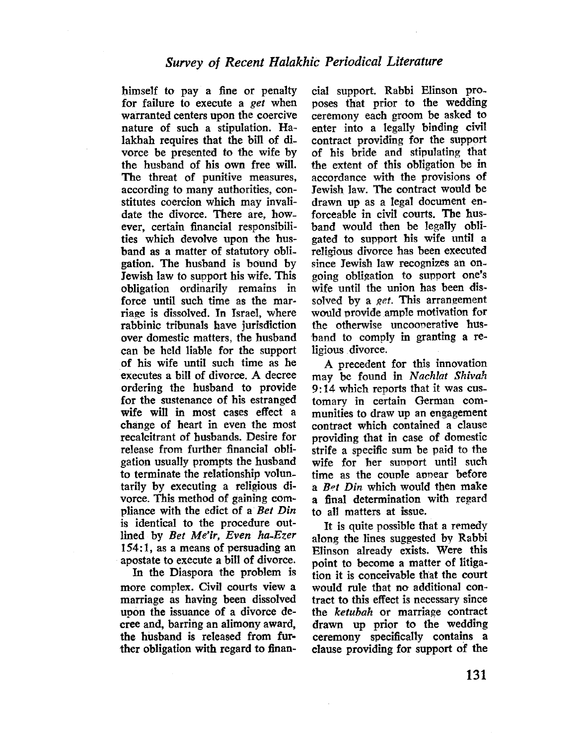himself to pay a fine or penalty for failure to execute a get when warranted centers upon the coercive nature of such a stipulation. Halakhah requires that the bill of divorce be presented to the wife by the husband of his own free wil. The threat of punitive measures, according to many authorities, constitutes coercion which may invalidate the divorce. There are, however, certain financial responsibilties which devolve upon the husband as a matter of statutory obligation. The husband is bound by Jewish law to support his wife. This obligation ordinarily remains in force until such time as the marriage is dissolved. In Israel, where rabbinic tribunals have jurisdiction over domestic matters, the husband can be held liable for the support of his wife until such time as he executes a bil of divorce. A decree ordering the husband to provide for the sustenance of his estranged wife will in most cases effect a change of heart in even the most recalcitrant of husbands. Desire for release from further financial obligation usually prompts the husband to terminate the relationship voluntarily by executing a religious di. vorce. This method of gaining cOmpliance with the edict of a *Bet Din* is identical to the procedure outlined by Bet Me'ir, Even ha-Ezer i 54: 1, as a means of persuading an apostate to execute a bil of divorce.

In the Diaspora the problem is more complex. Civil courts view a marriage as having been dissolved upòn the issuance of a divorce decree and, barring an alimony award, the husband is released from further obligation with regard to fian-

cial support. Rabbi Elinson proposes that prior to the wedding ceremony each groom be asked to enter into a legally binding civil contract providing for the support of his bride and stipulating that the extent of this obligation be in accordance with the provisions of Jewish law. The contract would be drawn up as a legal document enforceable in civil courts. The husband would then be legally obligated to support his wife until a religious divorce has been executed since Jewish law recognizes an on. going obligation to support one's wife until the union has been dissolved by a *get*. This arrangement would provide ample motivation for the otherwise uncooperative hus band to comply in granting a religious divorce.

A precedent for this innovation may be found in Nachlat Shivah 9:14 which reports that it was customary in certain German communities to draw up an engagement contract which contained a clause providing that in case of domestic strife a specific sum be paid to the wife for her support until such time as the couple apnear before a Bet Din which would then make a final determination with regard to all matters at issue.

It is quite possible that a remedy along the lines suggested by Rabbi Elinson already exists. Were this point to become a matter of litigation it is conceivable th'at the court would rule that no additional contract to this effect is necessary since the ketubah or marriage contract drawn up prior to the wedding ceremony specifically contains a clause providing for support of the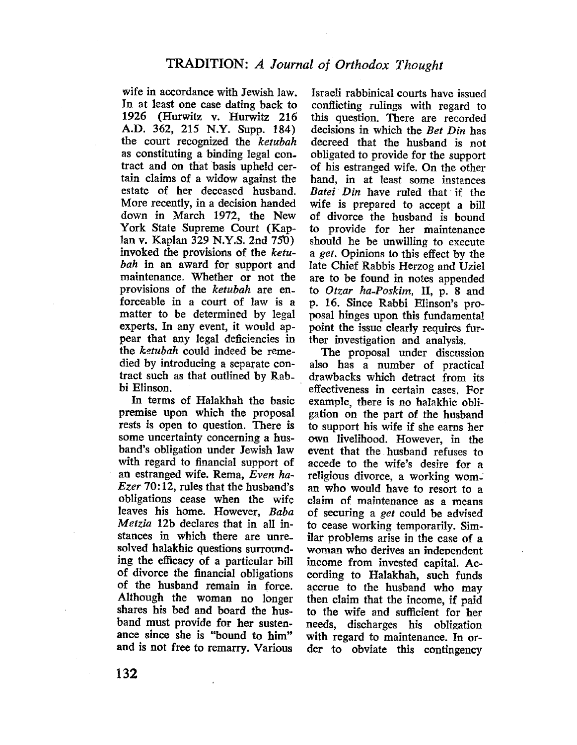wife in accordance with Jewish law. In at least one case dating back to 1926 (Hurwitz v. Hurwitz 216 A.D. 362, 215 N.Y. Supp. 184) the court recognized the ketubah as constituting a binding legal con. tract and on that basis upheld certain claims of a widow against the estate of her deceased husband. More recently, in a decision handed down in March 1972, the New York State Supreme Court (Kaplan v. Kaplan 329 N.Y.S. 2nd 75') invoked the provisions of the ketubah in an award for support and maintenance. Whether or not the provisions of the ketubah are enforceable in a court of law is a matter to be determined by legal experts. In any event, it would appear that any legal deficiencies in the ketubah could indeed be remedied by introducing a separate contract such as that outlined by Rab-<br>bi Elinson.

In terms of Halakhah the basic premise upon which the proposal rests is open to question. There is some uncertainty concerning a husband's obligation under Jewish law with regard to financial support of an estranged wife. Rema, Even ha-Ezer 70: 12, rules that the husband's obligations cease when the wife leaves his home. However, Baba Metzia 12b declares that in all instances in which there are unresolved halakhic questions surrounding the efficacy of a particular bill of divorce the financial obligations of the husband remain in force. Although the woman no longer shares his bed and board the husband must provide for her sustenance since she is "bound to him" and is not free to remarry. Various

Israeli rabbinical courts have issued conflicting rulings with regard to this question. There are recorded decisions in which the Bet Din has decreed that the husband is not obligated to provide for the support of his estranged wife. On the other hand, in at least some instances Batei Din have ruled that if the wife is prepared to accept a bil of divorce the husband is bound to provide for her maintenance should he be unwiling to execute a get. Opinions to this effect by the late Chief Rabbis Herzog and Uziel are to be found in notes appended to Otzar ha.Poskim, II, p. 8 and p. 16. Since Rabbi Elinson's proposal hinges upon this fundamental point the issue clearly requires further investigation and analysis.

The proposal under discussion also has a number of practical drawbacks which detract from its effectiveness in certain cases. For example, there is no halakbic obligation on the part of the husband to support his wife if she earns her own livelihood. However, in the event that the husband refuses to accede to the wife's desire for a religious divorce, a working woman who would have to resort to a claim of maintenance as a means of securing a get could be advised to cease working temporarily. Similar problems arise in the case of a woman who derives an independent income from invested capital. According to Halakhah, such funds accrue to the husband who may then claim that the income, if paid to the wife and sufficient for her needs, discharges his obligation with regard to maintenance. In order to obviate this contingency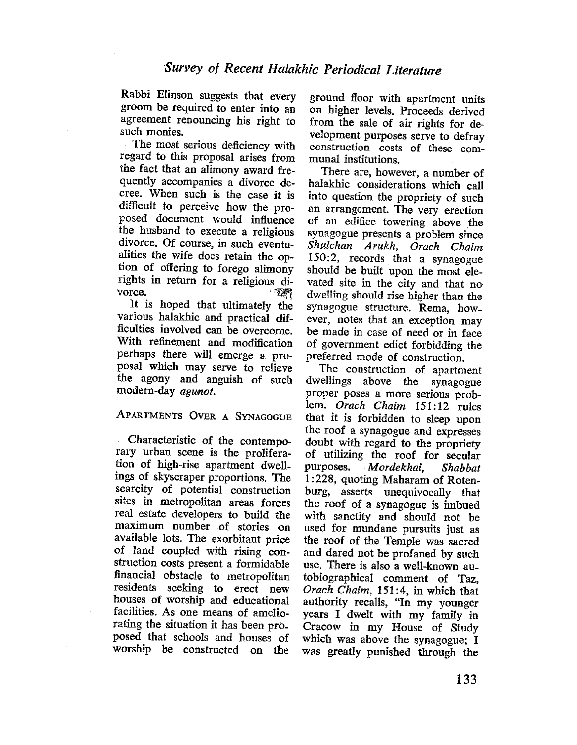Rabbi Elinson suggests that every groom be required to enter into an agreement renouncing his right to such monies.

The most serious deficiency with regard to. this proposal arises from the fact that an alimony award frequently accompanies a divorce decree. When such is the case it is difficult to perceive how the proposed document would influence the husband to execute a religious divorce. Of course, in such eventualities the wife does retain the option of offering to forego alimony rights in return for a religious di-<br>vorce.

It is hoped that ultimately the various halakhic and practical difficuIties involved can be overcome. With refinement and modification perhaps there will emerge a proposal which may serve to relieve the agony and anguish of such modern-day agunot.

## APARTMENTS OVER A SYNAGOGUE

Characteristic of the contemporary urban scene is the proliferation of high-rise apartment dwellings of skyscraper proportions. The scarcity of potential construction sites in metropolitan areas forces real estate developers to build the maximum number of stories on available lots. The exorbitant price of land coupled with rising construction costs present a formidable financial obstacle to metropolitan residents seeking to erect new houses of worship and educational facilties. As one means of ameliorating the situation it has been proposed that schools and houses of worship be constructed on the

ground floor with apartment units on higher levels. Proceeds derived from the sale of air rights for development purposes serve to defray construction costs of these communal institutions.

There are, however, a number of halakhic considerations which call into question the propriety of such an arrangement. The very erection of an edifice towering above the synagogue presents a problem since Shulchan Arukh, Orach Chaim 150:2, records that a synagogue should be built upon the most elevated site in the city and that no dwellng should rise higher than the synagogue structure. Rema, however, notes that an exception may be made in case of need or in face of government edict forbidding the preferred mode of construction.

The construction of apartment dwellings above the synagogue proper poses a more serious problem. Orach Chaim 151:12 rules that it is forbidden to sleep upon the roof a synagogue and expresses doubt with regard to the propriety of utilzing the roof for secular purposes. Mordekhai, Shabbat 1 :228, quoting Maharam of Rotenburg, asserts unequivocally that the roof of a synagogue is imbued with sanctity and should not be used for mundane pursuits just as the roof of the Temple was sacred and dared not be profaned by such use. There is also a well-known autobiographical comment of Taz, Orach Chaim, 151:4, in which that authority recalls, "In my younger years I dwelt with my family in Cracow in my House of Study which was above the synagogue; I was greatly punished through the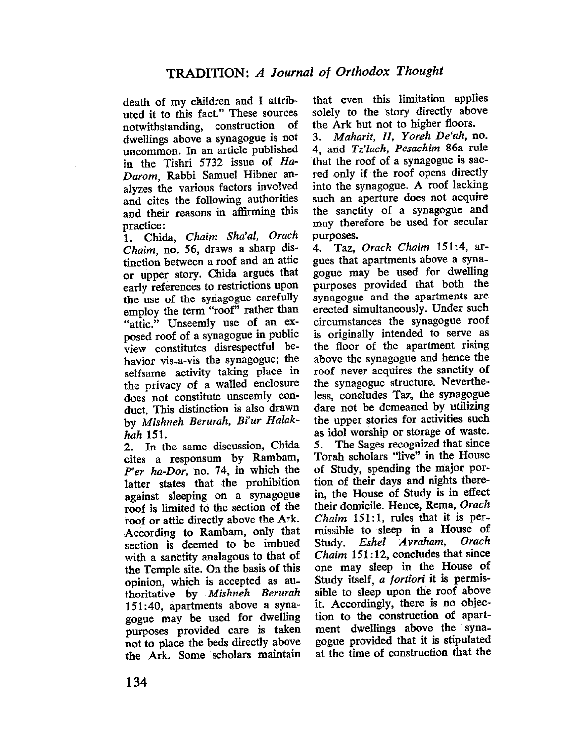death of my children and I attributed it to this fact." These sources<br>notwithstanding construction of notwithstanding, construction dwellngs above a synagogue is not uncommon. In an article published in the Tishri 5732 issue of Ha-Darom, Rabbi Samuel Hibner analyzes the various factors involved and cites the following authorities and their reasons in affirming this practice:

1. Chida, Chaim Sha'al, Orach Chaim, no. 56, draws a sharp distinction between a roof and an attic or upper story. Chida argues that early references to restrictions upon the use of the synagogue carefully employ the term "roof" rather than "attic." Unseemly use of an exposed roof of a synagogue in public view constitutes disrespectful be~ havior vis-a-vis the synagogue; the selfsame activity taking place in the privacy of a walled enclosure does not constitute unseemly conduct. This distinction is also drawn by Mishneh Berurah, Bi'ur Halakhah 151.

2. In the same discussion, Chida cites a responsum by Rambam, P'er ha-Dor, no. 74, in which the latter states that the prohibition against sleeping on a synagogue roof is limited tó the section of the 'roof or attic directly above the Ark. According to Rambam, only that section is deemed to be imbued with a sanctity analagous to that of the Temple site. On the basis of this opinion, which is accepted as authoritative by Mishneh Berurah 151 :40, apartments above a synagogue may be used for dwellng purposes provided care is taken not to place the beds directly above the Ark. Some. scholars maintain

that even this limitation applies solely to the story directly above the Ark but not to higher floors.

3. Maharit, II. Yoreh De'ah, no. 4, and Tz'lach, Pesachim 86a rule that the roof of a synagogue is sacred only if the roof opens directly into the synagogue. A roof lacking such an aperture does not acquire the sanctity of a synagogue and may therefore be used for secular purposes.

4. Taz, Drach Chaim 151 :4, argues that apartments above a synagogue may be used for dwellng purposes provided that both the synagogue and the apartments are erected simultaneously. Under such circumstances the synagogue roof is originally intended to serve as the floor of the apartment rising above the synagogue and hence the roof never acquires the sanctity of the synagogue structure. Nevertheless, coneludes Taz, the synagogue dare not be demeaned by utilizing the upper stories for activities such as idol worship or storage of waste. 5. The Sages recognized that since Torah scholars "live" in the House of Study, spending the major portion of their days and nights therein, the House of Study is in effect their domicile. Hence, Rema, Orach *Chaim* 151:1, rules that it is permissible to sleep in a House of Study. Eshel Avraham, Orach Chaim 151:12, concludes that since one may sleep in the House of Study itself, a fortiori it is permissible to sleep upon the roof above it. Accordingly, there is no objection to the construction of apartment dwellings above the synagogue provided that it is stipulated at the time of construction that the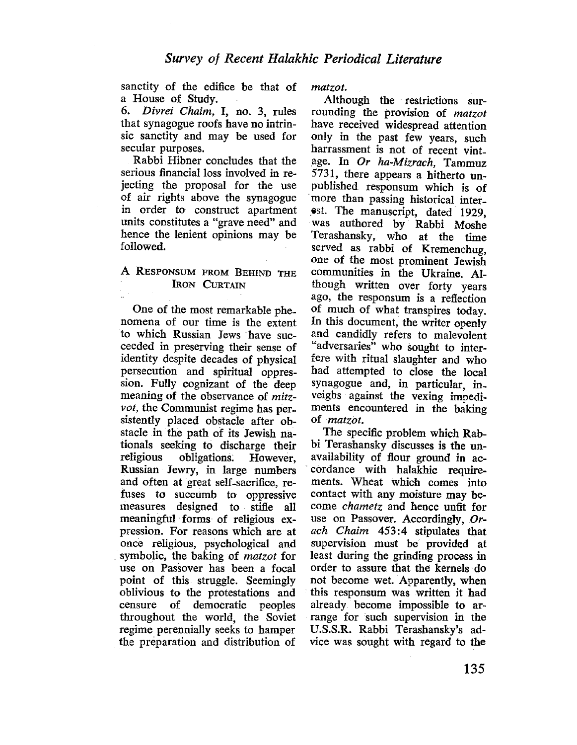sanctity of the edifice be that of a House of Study.

6. Divrei Chaim, I, no. 3, rules that synagogue roofs have no intrinsic sanctity and may be used for secular purposes.

Rabbi Hibner concludes that the serious financial loss involved in rejecting the proposal for the use of air rights above the synagogue in order to construct apartment units constitutes a "grave need" and hence the lenient opinions may be followed.

## A RESPONSUM FROM BEHIND THE IRON CURTAIN

One of the most remarkable phenomena of our time is the extent to which Russian Jews. have succeeded in preserving their sense of identity despite decades of physical persecution and spiritual oppression. Fully cognizant of the deep meaning of the observance of *mitz*vot, the Communist regime has persistently placed obstacle after obstacle in the path of its Jewish nationals seeking to discharge their religious obligations. However, Russian Jewry, in large numbers and often at great self-sacrifice, refuses to succumb to oppressive measures designed to. stifle all meaningful forms of religious expression. For reasons which are at once religious, psychological and symbolic, the baking of matzot for use on Passover has been a focal point of this struggle. Seemingly oblivious to the protestations and censure of democratic peoples throughout the world, the Soviet regime perennially seeks to hamper the preparation and distribution of

matzot.

Although the restrictions surrounding the provision of matzot have received widespread attention only in the past few years, such harrassment is not of recent vintage. In Or ha-Mizrach, Tammuz 5731, there appears a hitherto unpublished responsum which is of . more than passing historical inter est. The manuscript, dated 1929, was authored by Rabbi Moshe Terashansky, who at the time served as rabbi of Kremenchug, one of the most prominent Jewish communities in the Ukraine. Although written over forty years ago, the responsum is a reflection of much of what transpires today. In this document, the writer openly and candidly refers to malevolent "adversaries" who sought to inter-<br>fere with ritual slaughter and who<br>had attempted to close the local<br>synagogue and, in particular, in-<br>veighs against the vexing impedi-<br>ments appointed in the habine fere with ritual slaughter and who had attempted to close the local veighs against the vexing impedi-<br>ments encountered in the baking synagogue and, in particular inof matzot.

The specific problem which Rabbi Terashansky discusses is the unavailabilty of flour ground in ac- . cordance with halakhic requirements. Wheat which comes into contact with any moisture may become *chametz* and hence unfit for use on Passover. Accordingly, Orach Chaim 453:4 stipulates that supervision must be provided at least during the grinding process in order to assure that the kernels. do not become wet. Apparently, when this responsum was written it had already become impossible to arrange for such supervision in the U.S.S.R. Rabbi Terashansky's advice was sought with regard to the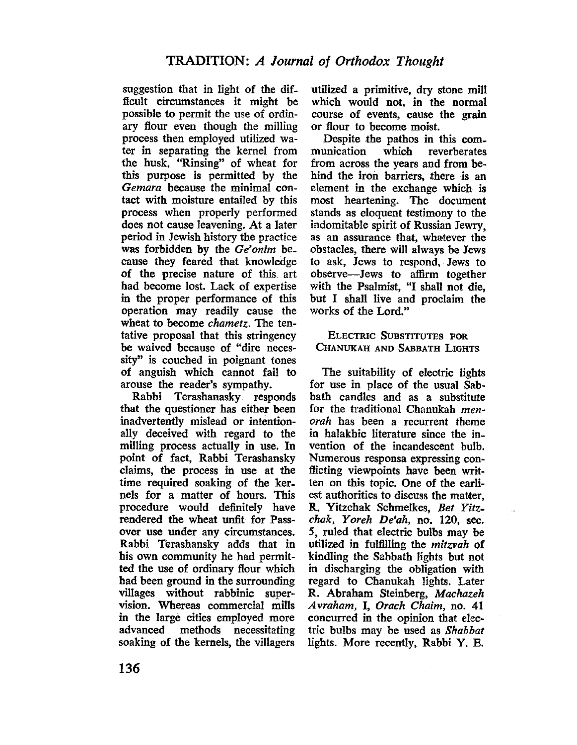suggestion that in light of the difficult circumstances it might be possible to permit the use of ordinary flour even though the miling process then employed utilized water in separating the kernel from 'the husk. "Rinsing" of wheat for this purpose is permitted by the Gemara because the minimal contact with moisture entailed by this process when properly performed does not cause leavening. At a later period in Jewish history the practice was forbidden by the Ge'onim because they feared that knowledge of the precise nature of this, art had become lost. Lack of expertise in the proper performance of this operation may readily cause the wheat to become *chametz*. The tentative proposal that this stringency be waived because of "dire necessity" is couched in poignant tones of anguish which cannot fail to arouse the reader's sympathy.

Rabbi Terashanasky responds that the questioner has either been inadvertently mislead or intentionally deceived with regard to the miling process actually in use. In point of fact, Rabbi Terashansky claims, the process in use at the time required soaking of the kernels for a matter of hours. This procedure would definitely have rendered the wheat unft for Passover use under any circumstances. Rabbi Terashansky adds that in his own community he had permitted the use of ordinary flour which had been ground in the surrounding vilages without rabbinic supervision. Whereas commercial mils in the large cities employed more advanced methods necessitating soaking of the kernels, the vilagers

utilzed a primitive, dry stone mil which would not, in the normal course of events, cause the grain or flour to become moist.

Despite the pathos in this communication which reverberates from across the years and from behind the iron barriers, there is an element in the exchange which is most heartening. The document stands as eloquent testimony to the indomitable spirit of Russian Jewry, as an assurance that, whatever the obstacles, there will always be Jews to ask, Jews to respond, Jews to observe-Jews to affirm together with the Psalmist, "I shall not die, but I shall live and proclaim the works of the Lord."

## ELECTRIC SUBSTITUTES FOR CHANUKAH AND SABBATH LIGHTS

The suitabilty of eleotric lights for use in place of the usual Sabbath candles and as a substitute for the traditional Chanukah menorah has been a recurrent theme in halakbic literature since the invention of the incandescent bulb. Numerous responsa expressing con~ flicting viewpoints have been written on this topic. One of the earliest authorities to discuss the matter, R. Yitzchak Schmelkes, Bet Yitz $chak$ , Yoreh De'ah, no. 120, sec. 5, ruled that electric bulbs may be utilized in fulfilling the *mitzvah* of kindling the Sabbath lights but not in discharging the obligation with regard to Chanukah lights. Later R. Abraham Steinberg, Machazeh Avraham, I, Orach Chaim, no. 41 concurred in the opinion that electric bulbs may be used as Shabbat lights. More recently, Rabbi Y. E.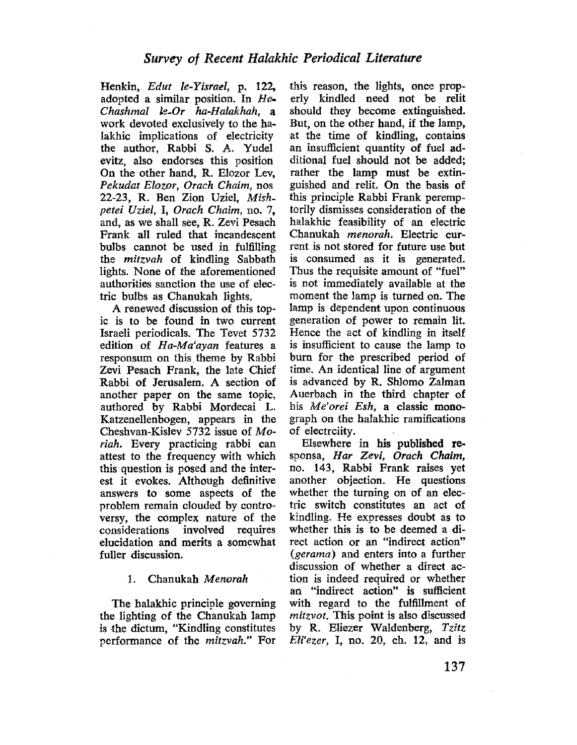Henkin, Edut le-Yisrael, p. 122, adopted a similar position. In  $Ha$ - $Chashmal$  le-Or ha-Halakhah, a work devoted exclusively to the halakhic implications of electricity the author, Rabbi S. A. Yudel evitz, also endorses this position On the other hand, R. Elozor Lev, Pekudat Elozor, Orach Chaim, nos 22-23, R. Ben Zion Uziel, Mishpetei Uziel, I, Orach Chaim, no. 7, and, as we shall see, R. Zevi Pesach Frank all ruled that incandescent bulbs cannot be used in fulfilling the mitzvah of kindling Sabbath lights. None of the aforementioned authorities sanction the use of electric bulbs as Chanukah lights.

A renewed discussion of this topic is to be found in two current Israeli periodicals. The Tevet 5732 edition of Ha-Ma'ayan features a responsum on this. theme by Rabbi Zevi Pesach Frank, the late Chief Rabbi of Jerusalem. A section of another paper on the same topic, authored by Rabbi Mordecai L. Katzenellenbogen, appears in the Cheshvan-Kislev 5732 issue of Moriah. Every practicing rabbi can attest to the frequency with which this question is posed and the interest it evokes. Although definitive answers to some aspects of the problem remain clouded by controversy, the complex nature of the<br>considerations involved requires involved requires elucidation and merits a somewhat fuller discussion.

#### 1. Chanukah Menorah

The halakhic principle governing the lighting of the Chanukah lamp is the dictum, "Kindling constitutes performance of the mitzvah." For this reason, the lights, once properly kindled need not be relit should they become extinguished. But, on the other hand, if the lamp, at the time of kindling, contains an insufficient quantity of fuel additional fuel should not be added; rather the lamp must be extinguished and relit. On the basis of this principle Rabbi Prank peremptorily dismisses consideration of the halakhic feasibilty of an electric Chanukah menorah. Electric current is not stored for future use but is consumed as it is generated. Thus the requisite amount of "fuel" is not immediately available at the moment the lamp is turned on. The lamp is dependent upon continuous generation of power to remain li. Hence the act of kindling in itself is insufficient to cause the lamp to bum for the prescribed period of time. An identical line of argument is advanced by R. Shlomo Zalman Auerbach in the third chapter of his Me'orei Esh, a classic monograph on the halakhic ramifcations of electrciity.

Elsewhere in his published responsa, Har Zevi, Drach Chaim, no. 143, Rabbi Prank raises yet another objection. He questions whether the turning on of an electric switch constitutes an act of kindling. He expresses doubt as to whether this is to be deemed a direct action or an "indirect action" (gerama) and enters into a further discussion of whether. a direct action is indeed required or whether an "indirect action" is sufficient with regard to the fulfilment of mitzvot. This point is also discussed by R. Eliezer Waldenberg, Tzitz  $Eli'$ ezer, I, no. 20, ch. 12, and is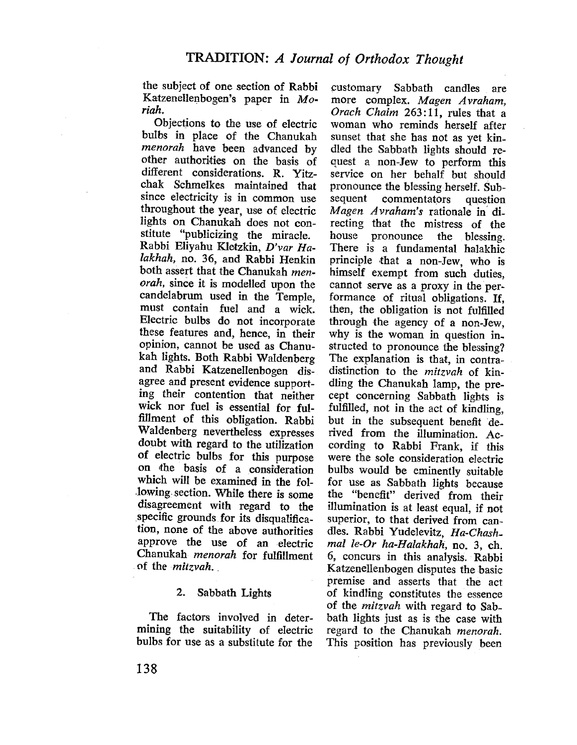the subject of one section of Rabbi Katzenellenbogen's paper in Moriah.

Objections to the use of electric bulbs in place of the Chanukah menorah have been advanced by other authorities on the basis of different considerations. R. Yitzchak Schmelkes maintained that since electricity is in common use throughout the year, use of electric lights on Chanukah does not constitute "publicizing the miracle. Rabbi Eliyahu Kletzkin, D'var Halakhah, no. 36, and Rabbi Henkin both assert that the Chanukah menorah, since it is modelled upon the candelabrum used in the Temple, must contain fuel and a wick. Electric bulbs do not incorporate these features and, hence, in their opinion, cannot be used as Chanukah lights. Both Rabbi Waldenberg and Rabbi Katzenellenbogen disagree and present evidence supporting their contention that neither wick nor fuel is essential for fulfilment of this obligation. Rabbi Waldenberg nevertheless expresses doubt with regard to the utilization of electric bulbs for this purpose on ithe basis of a consideration which will be examined in the fol-.lowing- section. While there is some disagreement with regard to the specific grounds for its disqualification, none of the above authorities approve the use of an electric Chanukah menorah for fulfllment of the *mitzvah*.

### 2. Sabbath Lights

The factors involved in determining the suitabilty of electric bulbs for use as a substitute for the

customary Sabbath candles are more complex. Magen Avraham. Orach Chaim 263: 11, rules that a woman who reminds herself afier sunset that she has not as yet kindled the Sabbath lights should request a non-Jew to perform this service on her behalf but should pronounce the blessing herself. Sub-<br>sequent commentators question commentators question Magen Avraham's rationale in directing that the mistress of the house pronounce the blessing. There is a fundamental halakhic principle that a non-Jew, who is himself exempt from such duties, cannot serve as a proxy in the performance of ritual obligations. If, then, the obligation is not fulfilled through the agency of a non-Jew, why is the woman in question instructed to pronounce the blessing? The explanation is that, in contradistinction to the mitzvah of kindling the Chanukah lamp, the precept concerning Sabbath lights is fulflled, not in the act of kindling, but in the subsequent benefit derived from the ilumination. According to Rabbi Frank, if this were the sole consideration electric bulbs would be eminently suitable for use as Sabbath lights because the "benefit" derived from their ilumination is at least equal, if not superior, to that derived from candles. Rabbi Yudelevitz, Ha-Chashmal le-Or ha-Halakhah, no. 3, ch. 6, concurs in this analysis. Rabbi Katzenellenbogen disputes the basic premise and asserts that the act of kindling constitutes the essence of the mitzvah with regard to Sabbath lights just as is the case with regard to the Chanukah menorah. This position has previously been